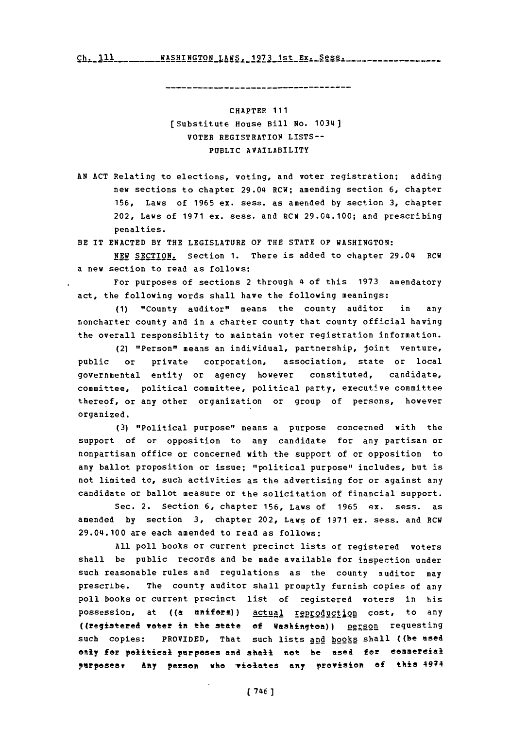Ch.~~ **S-- --- -AHNGO -- -- --- E---e-s - -7 -s ch- ill WASHTNGTON** T.AWS **1q71** 1st Ex. Sess.

CHAPTER **111** (Substitute House Bill **No.** 1034] VOTER REGISTRATION **LISTS-- PUBLIC** AVAILABILITY

**AN ACT** Relating to elections, voting, and voter registration; adding new sections to chapter 29.04 RCW; amending section **6,** chapter **156,** Laws of **1965** ex. sess. as amended **by** section **3,** chapter 202, Laws of **1971** ex. sess. and RCW 29.04.100; and prescribing penalties.

BE IT **ENACTED** BY THE LEGISLATURE OF THE **STATE** OF WASHINGTON:

NEW **SECTION.** Section **1.** There is added to chapter 29.04 RCW a new section to read as follows:

For purposes of sections 2 through 4 of this **1973** amendatory act, the following words shall have the following meanings:

**(1)** "County auditor" means the county auditor in any noncharter county and in a charter county that county official having the overall responsiblity to maintain voter registration information.

(2) "Person" means an individual, partnership, joint venture, public or private corporation, association, state or local governmental entity or agency however constituted, candidate, committee, political committee, political party, executive committee thereof, or any other organization or group of persons, however organized.

(3) **"Political purpose"** means a purpose concerned with the support of or opposition to any candidate for any partisan or nonpartisan office or concerned with the support of or opposition to any ballot proposition or issue; "political purpose" includes, but is not limited to, such activities as the advertising for or against any candidate or ballot measure or the solicitation of financial support.

Sec. 2. Section **6,** chapter **156,** Laws of **1965** ex. sess. as amended **by** section **3,** chapter 202, Laws of **1971** ex. sess. and RCW 29.04.100 are each amended to read as follows:

**All** poll books or current precinct lists of registered voters shall be public records and be made available for inspection under such reasonable rules and regulations as the county auditor may prescribe. The county auditor shall promptly furnish copies of any poll books or current precinct list of registered voters in his possession, at ((a uniform)) actual reproduction cost, to any ((registered voter int he state **of** Washington)) person requesting such copies: PROVIDED, That such lists and books shall ((be used only for political purposes and shall not be used for eemmereial **parpesesT** Any person whe Y-ietes any prevision **ef** this 4974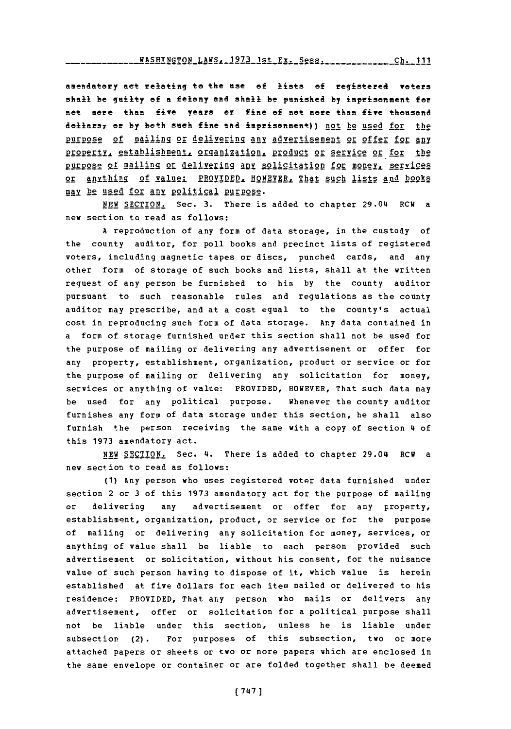amendatory act relating to the use of lists of registered voters shall be guilty of a felony and shall be punished by imprisonment for net more than five years or fine **of** not more then five thousand dollars, or by both such fine and imprisonment)) not be used for the purpose of mailing or delivering any advertisement or offer for any **property, establishment, organization, product or service or for the** Ri4Ep2§2 **of** mailing or del ivering **ADnZ** solicitation for money, services OF anything of value: PROVIDED, HOWEVER, That such lists and books MAY be used for **Any,** poitical Purpose.

**NEW** SECTION. Sec. **3.** There is added to chapter 29.04 ECU a new section to read as follows:

**A** reproduction of any form of data storage, in the custody of the county auditor, for poll books and precinct lists of registered voters, including magnetic tapes or discs, punched cards, and any other form of storage of such books and lists, shall at the written request of any person be furnished to him **by** the county auditor pursuant to such reasonable rules and regulations as the county auditor may prescribe, and at a cost equal to the county's actual cost in reproducing such form of data storage. Any data contained in a form of storage furnished under this section shall not be used for the purpose of mailing or delivering any advertisement or offer for any property, establishment, organization, product or service or for the purpose of mailing or delivering any solicitation for money, services or anything of value: PROVIDED, HOWEVER, That such data may be used for any political purpose. Whenever the county auditor furnishes any form of data storage under this section, he shall also furnish the person receiving the same with a copy of section 4 of this **1973** amendatory act.

**NEW SECTION.** Sec. **4.** There is added to chapter 29.04 RCW a new section to read as follows:

**(1)** Any person who uses registered voter data furnished under section 2 or **3** of this **1973** amendatory act for the purpose of mailing or delivering any advertisement or offer for any property, establishment, organization, product, or service or for the purpose of mailing or delivering any solicitation for money, services, or anything of value shall be liable to each person provided such advertisement or solicitation, without his consent, for the nuisance value of such person having to dispose of it, which value is herein established at five dollars for each item mailed or delivered to his residence: PROVIDED, That any person who mails or delivers any advertisement, offer or solicitation for a political purpose shall not be liable under this section, unless he is liable under subsection (2). For purposes of this subsection, two or more attached papers or sheets or two or more papers which are enclosed in the same envelope or container or are folded together shall be deemed